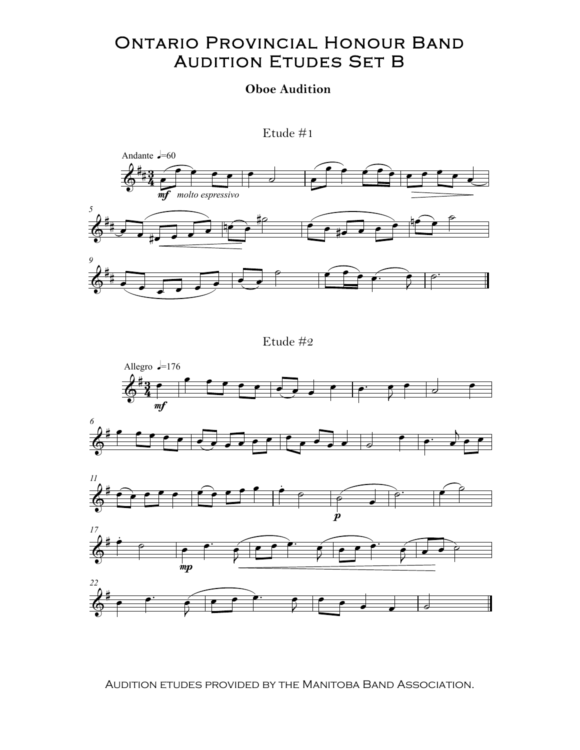## Ontario Provincial Honour Band Ontario Provincial Honour Band **AUDITION ETUDES SET B**

## **Oboe Audition**



Etude #2



Audition etudes provided by the Manitoba Band Association. Audition etudes provided by the Manitoba Band Association.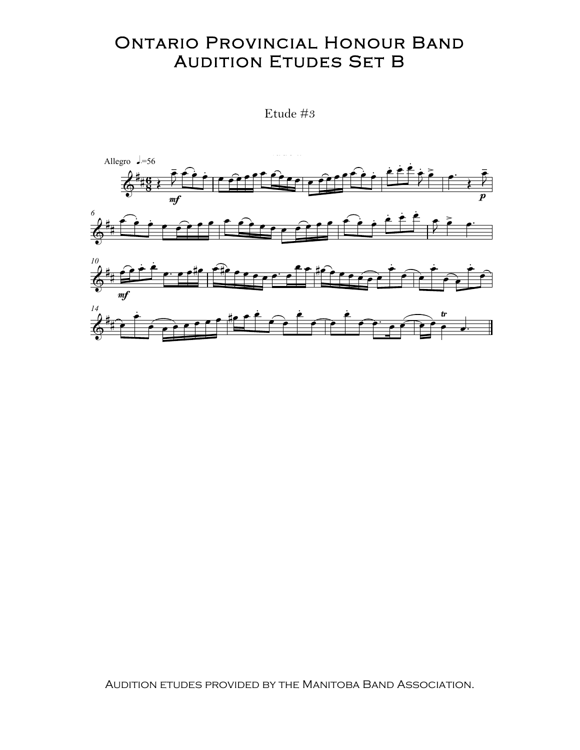## **ONTARIO PROVINCIAL HONOUR BAND AUDITION ETUDES SET B**

Etude #3



AUDITION ETUDES PROVIDED BY THE MANITOBA BAND ASSOCIATION.